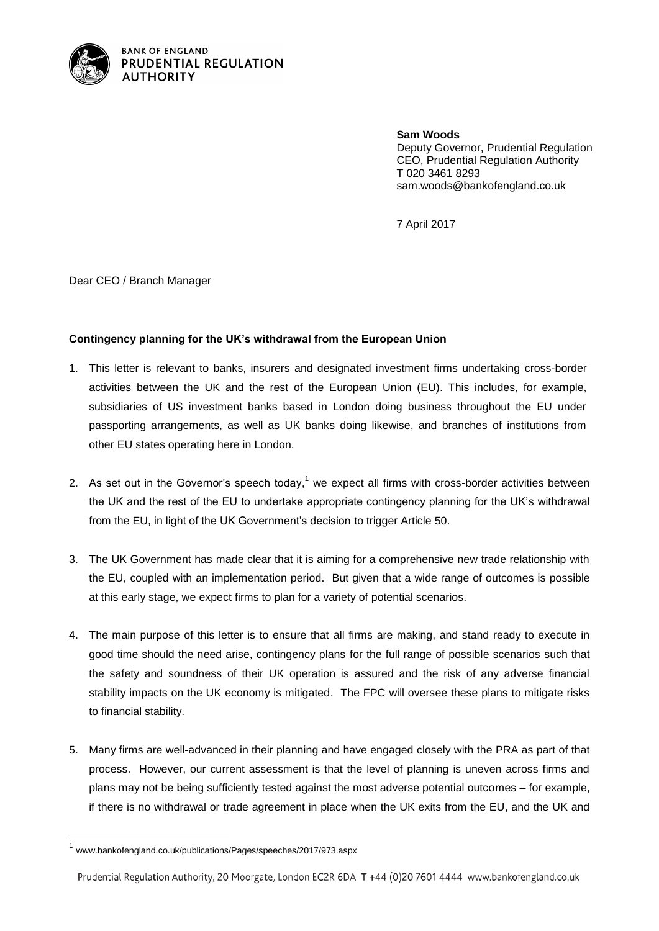

**BANK OF ENGLAND** PRUDENTIAL REGULATION **AUTHORITY** 

> **Sam Woods** Deputy Governor, Prudential Regulation CEO, Prudential Regulation Authority T 020 3461 8293 sam.woods@bankofengland.co.uk

7 April 2017

Dear CEO / Branch Manager

## **Contingency planning for the UK's withdrawal from the European Union**

- 1. This letter is relevant to banks, insurers and designated investment firms undertaking cross-border activities between the UK and the rest of the European Union (EU). This includes, for example, subsidiaries of US investment banks based in London doing business throughout the EU under passporting arrangements, as well as UK banks doing likewise, and branches of institutions from other EU states operating here in London.
- 2. As set out in the Governor's speech today,<sup>1</sup> we expect all firms with cross-border activities between the UK and the rest of the EU to undertake appropriate contingency planning for the UK's withdrawal from the EU, in light of the UK Government's decision to trigger Article 50.
- 3. The UK Government has made clear that it is aiming for a comprehensive new trade relationship with the EU, coupled with an implementation period. But given that a wide range of outcomes is possible at this early stage, we expect firms to plan for a variety of potential scenarios.
- 4. The main purpose of this letter is to ensure that all firms are making, and stand ready to execute in good time should the need arise, contingency plans for the full range of possible scenarios such that the safety and soundness of their UK operation is assured and the risk of any adverse financial stability impacts on the UK economy is mitigated. The FPC will oversee these plans to mitigate risks to financial stability.
- 5. Many firms are well-advanced in their planning and have engaged closely with the PRA as part of that process. However, our current assessment is that the level of planning is uneven across firms and plans may not be being sufficiently tested against the most adverse potential outcomes – for example, if there is no withdrawal or trade agreement in place when the UK exits from the EU, and the UK and

 $\overline{\phantom{a}}$ 

Prudential Regulation Authority, 20 Moorgate, London EC2R 6DA T +44 (0)20 7601 4444 www.bankofengland.co.uk

<sup>1</sup> www.bankofengland.co.uk/publications/Pages/speeches/2017/973.aspx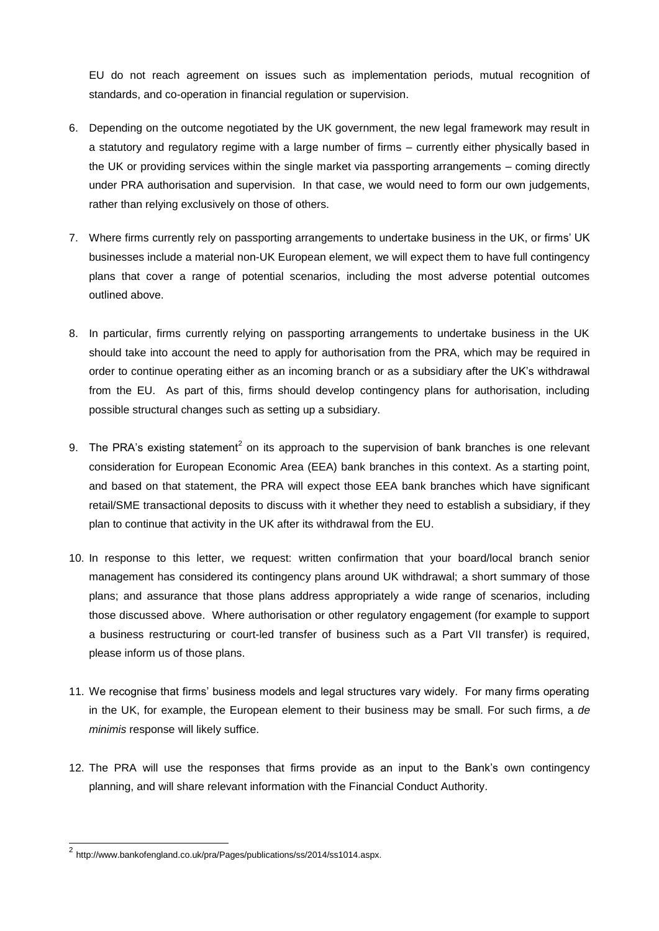EU do not reach agreement on issues such as implementation periods, mutual recognition of standards, and co-operation in financial regulation or supervision.

- 6. Depending on the outcome negotiated by the UK government, the new legal framework may result in a statutory and regulatory regime with a large number of firms – currently either physically based in the UK or providing services within the single market via passporting arrangements – coming directly under PRA authorisation and supervision. In that case, we would need to form our own judgements, rather than relying exclusively on those of others.
- 7. Where firms currently rely on passporting arrangements to undertake business in the UK, or firms' UK businesses include a material non-UK European element, we will expect them to have full contingency plans that cover a range of potential scenarios, including the most adverse potential outcomes outlined above.
- 8. In particular, firms currently relying on passporting arrangements to undertake business in the UK should take into account the need to apply for authorisation from the PRA, which may be required in order to continue operating either as an incoming branch or as a subsidiary after the UK's withdrawal from the EU. As part of this, firms should develop contingency plans for authorisation, including possible structural changes such as setting up a subsidiary.
- 9. The PRA's existing statement<sup>2</sup> on its approach to the supervision of bank branches is one relevant consideration for European Economic Area (EEA) bank branches in this context. As a starting point, and based on that statement, the PRA will expect those EEA bank branches which have significant retail/SME transactional deposits to discuss with it whether they need to establish a subsidiary, if they plan to continue that activity in the UK after its withdrawal from the EU.
- 10. In response to this letter, we request: written confirmation that your board/local branch senior management has considered its contingency plans around UK withdrawal; a short summary of those plans; and assurance that those plans address appropriately a wide range of scenarios, including those discussed above. Where authorisation or other regulatory engagement (for example to support a business restructuring or court-led transfer of business such as a Part VII transfer) is required, please inform us of those plans.
- 11. We recognise that firms' business models and legal structures vary widely. For many firms operating in the UK, for example, the European element to their business may be small. For such firms, a *de minimis* response will likely suffice.
- 12. The PRA will use the responses that firms provide as an input to the Bank's own contingency planning, and will share relevant information with the Financial Conduct Authority.

l

<sup>&</sup>lt;sup>2</sup> http://www.bankofengland.co.uk/pra/Pages/publications/ss/2014/ss1014.aspx.